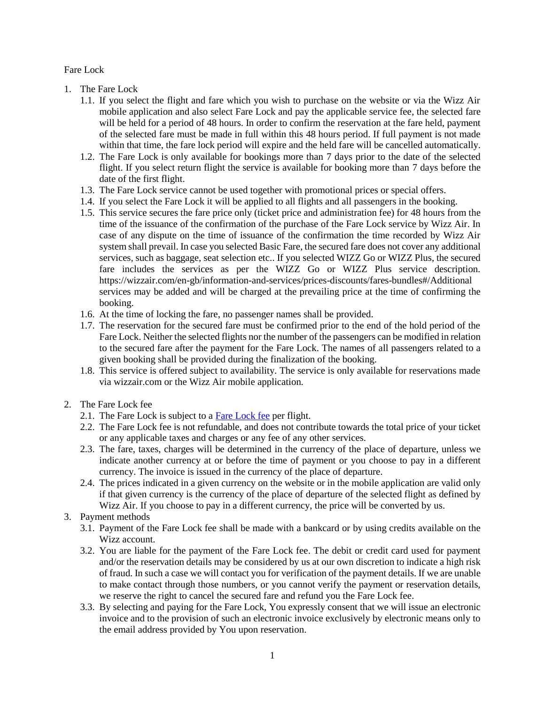Fare Lock

- 1. The Fare Lock
	- 1.1. If you select the flight and fare which you wish to purchase on the website or via the Wizz Air mobile application and also select Fare Lock and pay the applicable service fee, the selected fare will be held for a period of 48 hours. In order to confirm the reservation at the fare held, payment of the selected fare must be made in full within this 48 hours period. If full payment is not made within that time, the fare lock period will expire and the held fare will be cancelled automatically.
	- 1.2. The Fare Lock is only available for bookings more than 7 days prior to the date of the selected flight. If you select return flight the service is available for booking more than 7 days before the date of the first flight.
	- 1.3. The Fare Lock service cannot be used together with promotional prices or special offers.
	- 1.4. If you select the Fare Lock it will be applied to all flights and all passengers in the booking.
	- 1.5. This service secures the fare price only (ticket price and administration fee) for 48 hours from the time of the issuance of the confirmation of the purchase of the Fare Lock service by Wizz Air. In case of any dispute on the time of issuance of the confirmation the time recorded by Wizz Air system shall prevail. In case you selected Basic Fare, the secured fare does not cover any additional services, such as baggage, seat selection etc.. If you selected WIZZ Go or WIZZ Plus, the secured fare includes the services as per the WIZZ Go or WIZZ Plus service description. https://wizzair.com/en-gb/information-and-services/prices-discounts/fares-bundles#/Additional services may be added and will be charged at the prevailing price at the time of confirming the booking.
	- 1.6. At the time of locking the fare, no passenger names shall be provided.
	- 1.7. The reservation for the secured fare must be confirmed prior to the end of the hold period of the Fare Lock. Neither the selected flights nor the number of the passengers can be modified in relation to the secured fare after the payment for the Fare Lock. The names of all passengers related to a given booking shall be provided during the finalization of the booking.
	- 1.8. This service is offered subject to availability. The service is only available for reservations made via wizzair.com or the Wizz Air mobile application.
- 2. The Fare Lock fee
	- 2.1. The Fare Lock is subject to a [Fare Lock fee](https://wizzair.com/en-gb/information-and-services/prices-discounts/all-services-fees#/) per flight.
	- 2.2. The Fare Lock fee is not refundable, and does not contribute towards the total price of your ticket or any applicable taxes and charges or any fee of any other services.
	- 2.3. The fare, taxes, charges will be determined in the currency of the place of departure, unless we indicate another currency at or before the time of payment or you choose to pay in a different currency. The invoice is issued in the currency of the place of departure.
	- 2.4. The prices indicated in a given currency on the website or in the mobile application are valid only if that given currency is the currency of the place of departure of the selected flight as defined by Wizz Air. If you choose to pay in a different currency, the price will be converted by us.
- 3. Payment methods
	- 3.1. Payment of the Fare Lock fee shall be made with a bankcard or by using credits available on the Wizz account.
	- 3.2. You are liable for the payment of the Fare Lock fee. The debit or credit card used for payment and/or the reservation details may be considered by us at our own discretion to indicate a high risk of fraud. In such a case we will contact you for verification of the payment details. If we are unable to make contact through those numbers, or you cannot verify the payment or reservation details, we reserve the right to cancel the secured fare and refund you the Fare Lock fee.
	- 3.3. By selecting and paying for the Fare Lock, You expressly consent that we will issue an electronic invoice and to the provision of such an electronic invoice exclusively by electronic means only to the email address provided by You upon reservation.